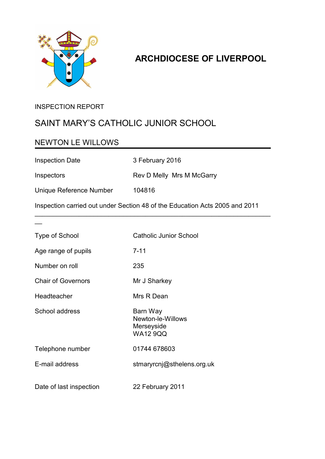

## **ARCHDIOCESE OF LIVERPOOL**

### INSPECTION REPORT

### SAINT MARY'S CATHOLIC JUNIOR SCHOOL

### NEWTON LE WILLOWS

Inspection Date 3 February 2016

Inspectors Rev D Melly Mrs M McGarry

 $\overline{\phantom{a}}$ 

Unique Reference Number 104816

Inspection carried out under Section 48 of the Education Acts 2005 and 2011

\_\_\_\_\_\_\_\_\_\_\_\_\_\_\_\_\_\_\_\_\_\_\_\_\_\_\_\_\_\_\_\_\_\_\_\_\_\_\_\_\_\_\_\_\_\_\_\_\_\_\_\_\_\_\_\_\_\_\_\_\_\_\_\_

| <b>Type of School</b>     | <b>Catholic Junior School</b>                                  |
|---------------------------|----------------------------------------------------------------|
| Age range of pupils       | $7 - 11$                                                       |
| Number on roll            | 235                                                            |
| <b>Chair of Governors</b> | Mr J Sharkey                                                   |
| Headteacher               | Mrs R Dean                                                     |
| School address            | Barn Way<br>Newton-le-Willows<br>Merseyside<br><b>WA12 9QQ</b> |
| Telephone number          | 01744 678603                                                   |
| E-mail address            | stmaryrcnj@sthelens.org.uk                                     |
| Date of last inspection   | 22 February 2011                                               |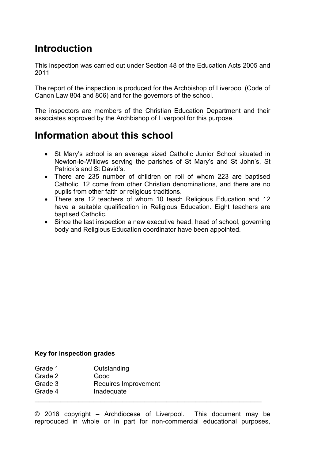# **Introduction**

This inspection was carried out under Section 48 of the Education Acts 2005 and 2011

The report of the inspection is produced for the Archbishop of Liverpool (Code of Canon Law 804 and 806) and for the governors of the school.

The inspectors are members of the Christian Education Department and their associates approved by the Archbishop of Liverpool for this purpose.

## **Information about this school**

- St Mary's school is an average sized Catholic Junior School situated in Newton-le-Willows serving the parishes of St Mary's and St John's, St Patrick's and St David's.
- There are 235 number of children on roll of whom 223 are baptised Catholic, 12 come from other Christian denominations, and there are no pupils from other faith or religious traditions.
- There are 12 teachers of whom 10 teach Religious Education and 12 have a suitable qualification in Religious Education. Eight teachers are baptised Catholic.
- Since the last inspection a new executive head, head of school, governing body and Religious Education coordinator have been appointed.

#### **Key for inspection grades**

| Grade 1 | Outstanding          |
|---------|----------------------|
| Grade 2 | Good                 |
| Grade 3 | Requires Improvement |
| Grade 4 | Inadequate           |
|         |                      |

© 2016 copyright – Archdiocese of Liverpool. This document may be reproduced in whole or in part for non-commercial educational purposes,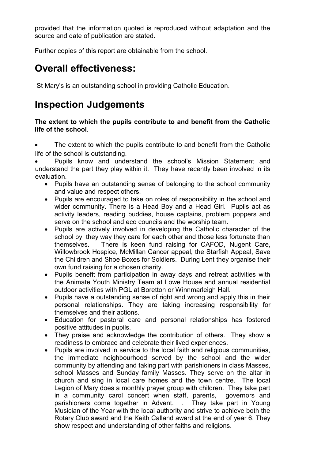provided that the information quoted is reproduced without adaptation and the source and date of publication are stated.

Further copies of this report are obtainable from the school.

## **Overall effectiveness:**

St Mary's is an outstanding school in providing Catholic Education.

# **Inspection Judgements**

**The extent to which the pupils contribute to and benefit from the Catholic life of the school.**

 The extent to which the pupils contribute to and benefit from the Catholic life of the school is outstanding.

 Pupils know and understand the school's Mission Statement and understand the part they play within it. They have recently been involved in its evaluation.

- Pupils have an outstanding sense of belonging to the school community and value and respect others.
- Pupils are encouraged to take on roles of responsibility in the school and wider community. There is a Head Boy and a Head Girl. Pupils act as activity leaders, reading buddies, house captains, problem poppers and serve on the school and eco councils and the worship team.
- Pupils are actively involved in developing the Catholic character of the school by they way they care for each other and those less fortunate than themselves. There is keen fund raising for CAFOD, Nugent Care, Willowbrook Hospice, McMillan Cancer appeal, the Starfish Appeal, Save the Children and Shoe Boxes for Soldiers. During Lent they organise their own fund raising for a chosen charity.
- Pupils benefit from participation in away days and retreat activities with the Animate Youth Ministry Team at Lowe House and annual residential outdoor activities with PGL at Boretton or Winnmarleigh Hall.
- Pupils have a outstanding sense of right and wrong and apply this in their personal relationships. They are taking increasing responsibility for themselves and their actions.
- Education for pastoral care and personal relationships has fostered positive attitudes in pupils.
- They praise and acknowledge the contribution of others. They show a readiness to embrace and celebrate their lived experiences.
- Pupils are involved in service to the local faith and religious communities, the immediate neighbourhood served by the school and the wider community by attending and taking part with parishioners in class Masses, school Masses and Sunday family Masses. They serve on the altar in church and sing in local care homes and the town centre. The local Legion of Mary does a monthly prayer group with children. They take part in a community carol concert when staff, parents, governors and parishioners come together in Advent. . They take part in Young Musician of the Year with the local authority and strive to achieve both the Rotary Club award and the Keith Calland award at the end of year 6. They show respect and understanding of other faiths and religions.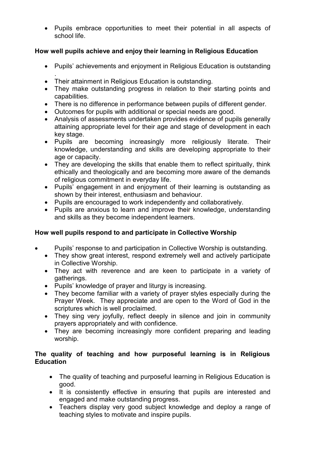Pupils embrace opportunities to meet their potential in all aspects of school life.

#### **How well pupils achieve and enjoy their learning in Religious Education**

- Pupils' achievements and enjoyment in Religious Education is outstanding
- . • Their attainment in Religious Education is outstanding.
- They make outstanding progress in relation to their starting points and capabilities.
- There is no difference in performance between pupils of different gender.
- Outcomes for pupils with additional or special needs are good.
- Analysis of assessments undertaken provides evidence of pupils generally attaining appropriate level for their age and stage of development in each key stage.
- Pupils are becoming increasingly more religiously literate. Their knowledge, understanding and skills are developing appropriate to their age or capacity.
- They are developing the skills that enable them to reflect spiritually, think ethically and theologically and are becoming more aware of the demands of religious commitment in everyday life.
- Pupils' engagement in and enjoyment of their learning is outstanding as shown by their interest, enthusiasm and behaviour.
- Pupils are encouraged to work independently and collaboratively.
- Pupils are anxious to learn and improve their knowledge, understanding and skills as they become independent learners.

#### **How well pupils respond to and participate in Collective Worship**

- Pupils' response to and participation in Collective Worship is outstanding.
	- They show great interest, respond extremely well and actively participate in Collective Worship.
	- They act with reverence and are keen to participate in a variety of gatherings.
	- Pupils' knowledge of prayer and liturgy is increasing.
	- They become familiar with a variety of prayer styles especially during the Prayer Week. They appreciate and are open to the Word of God in the scriptures which is well proclaimed.
	- They sing very joyfully, reflect deeply in silence and join in community prayers appropriately and with confidence.
	- They are becoming increasingly more confident preparing and leading worship.

#### **The quality of teaching and how purposeful learning is in Religious Education**

- The quality of teaching and purposeful learning in Religious Education is good.
- It is consistently effective in ensuring that pupils are interested and engaged and make outstanding progress.
- Teachers display very good subject knowledge and deploy a range of teaching styles to motivate and inspire pupils.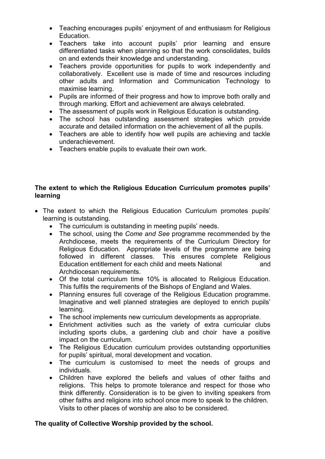- Teaching encourages pupils' enjoyment of and enthusiasm for Religious Education.
- Teachers take into account pupils' prior learning and ensure differentiated tasks when planning so that the work consolidates, builds on and extends their knowledge and understanding.
- Teachers provide opportunities for pupils to work independently and collaboratively. Excellent use is made of time and resources including other adults and Information and Communication Technology to maximise learning.
- Pupils are informed of their progress and how to improve both orally and through marking. Effort and achievement are always celebrated.
- The assessment of pupils work in Religious Education is outstanding.
- The school has outstanding assessment strategies which provide accurate and detailed information on the achievement of all the pupils.
- Teachers are able to identify how well pupils are achieving and tackle underachievement.
- Teachers enable pupils to evaluate their own work.

#### **The extent to which the Religious Education Curriculum promotes pupils' learning**

- The extent to which the Religious Education Curriculum promotes pupils' learning is outstanding.
	- The curriculum is outstanding in meeting pupils' needs.
	- The school, using the *Come and See* programme recommended by the Archdiocese, meets the requirements of the Curriculum Directory for Religious Education. Appropriate levels of the programme are being followed in different classes. This ensures complete Religious Education entitlement for each child and meets National and Archdiocesan requirements.
	- Of the total curriculum time 10% is allocated to Religious Education. This fulfils the requirements of the Bishops of England and Wales.
	- Planning ensures full coverage of the Religious Education programme. Imaginative and well planned strategies are deployed to enrich pupils' learning.
	- The school implements new curriculum developments as appropriate.
	- Enrichment activities such as the variety of extra curricular clubs including sports clubs, a gardening club and choir have a positive impact on the curriculum.
	- The Religious Education curriculum provides outstanding opportunities for pupils' spiritual, moral development and vocation.
	- The curriculum is customised to meet the needs of groups and individuals.
	- Children have explored the beliefs and values of other faiths and religions. This helps to promote tolerance and respect for those who think differently. Consideration is to be given to inviting speakers from other faiths and religions into school once more to speak to the children. Visits to other places of worship are also to be considered.

#### **The quality of Collective Worship provided by the school.**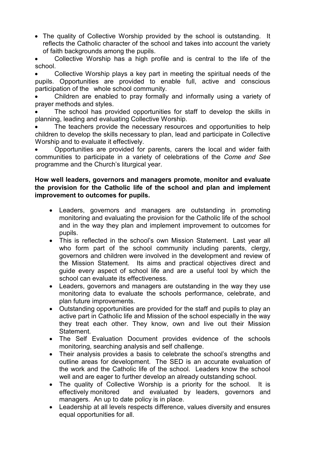• The quality of Collective Worship provided by the school is outstanding. It reflects the Catholic character of the school and takes into account the variety of faith backgrounds among the pupils.

 Collective Worship has a high profile and is central to the life of the school.

 Collective Worship plays a key part in meeting the spiritual needs of the pupils. Opportunities are provided to enable full, active and conscious participation of the whole school community.

 Children are enabled to pray formally and informally using a variety of prayer methods and styles.

 The school has provided opportunities for staff to develop the skills in planning, leading and evaluating Collective Worship.

 The teachers provide the necessary resources and opportunities to help children to develop the skills necessary to plan, lead and participate in Collective Worship and to evaluate it effectively.

 Opportunities are provided for parents, carers the local and wider faith communities to participate in a variety of celebrations of the *Come and See* programme and the Church's liturgical year.

#### **How well leaders, governors and managers promote, monitor and evaluate the provision for the Catholic life of the school and plan and implement improvement to outcomes for pupils.**

- Leaders, governors and managers are outstanding in promoting monitoring and evaluating the provision for the Catholic life of the school and in the way they plan and implement improvement to outcomes for pupils.
- This is reflected in the school's own Mission Statement. Last year all who form part of the school community including parents, clergy, governors and children were involved in the development and review of the Mission Statement. Its aims and practical objectives direct and guide every aspect of school life and are a useful tool by which the school can evaluate its effectiveness.
- Leaders, governors and managers are outstanding in the way they use monitoring data to evaluate the schools performance, celebrate, and plan future improvements.
- Outstanding opportunities are provided for the staff and pupils to play an active part in Catholic life and Mission of the school especially in the way they treat each other. They know, own and live out their Mission Statement.
- The Self Evaluation Document provides evidence of the schools monitoring, searching analysis and self challenge.
- Their analysis provides a basis to celebrate the school's strengths and outline areas for development. The SED is an accurate evaluation of the work and the Catholic life of the school. Leaders know the school well and are eager to further develop an already outstanding school.
- The quality of Collective Worship is a priority for the school. It is effectively monitored and evaluated by leaders, governors and managers. An up to date policy is in place.
- Leadership at all levels respects difference, values diversity and ensures equal opportunities for all.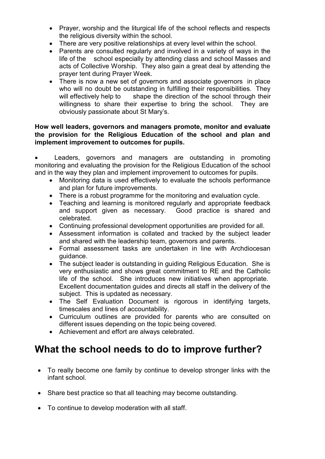- Prayer, worship and the liturgical life of the school reflects and respects the religious diversity within the school.
- There are very positive relationships at every level within the school.
- Parents are consulted regularly and involved in a variety of ways in the life of the school especially by attending class and school Masses and acts of Collective Worship. They also gain a great deal by attending the prayer tent during Prayer Week.
- There is now a new set of governors and associate governors in place who will no doubt be outstanding in fulfilling their responsibilities. They will effectively help to shape the direction of the school through their willingness to share their expertise to bring the school. They are obviously passionate about St Mary's.

#### **How well leaders, governors and managers promote, monitor and evaluate the provision for the Religious Education of the school and plan and implement improvement to outcomes for pupils.**

 Leaders, governors and managers are outstanding in promoting monitoring and evaluating the provision for the Religious Education of the school and in the way they plan and implement improvement to outcomes for pupils.

- Monitoring data is used effectively to evaluate the schools performance and plan for future improvements.
- There is a robust programme for the monitoring and evaluation cycle.
- Teaching and learning is monitored regularly and appropriate feedback and support given as necessary. Good practice is shared and celebrated.
- Continuing professional development opportunities are provided for all.
- Assessment information is collated and tracked by the subject leader and shared with the leadership team, governors and parents.
- Formal assessment tasks are undertaken in line with Archdiocesan guidance.
- The subject leader is outstanding in guiding Religious Education. She is very enthusiastic and shows great commitment to RE and the Catholic life of the school. She introduces new initiatives when appropriate. Excellent documentation guides and directs all staff in the delivery of the subject. This is updated as necessary.
- The Self Evaluation Document is rigorous in identifying targets, timescales and lines of accountability.
- Curriculum outlines are provided for parents who are consulted on different issues depending on the topic being covered.
- Achievement and effort are always celebrated.

## **What the school needs to do to improve further?**

- To really become one family by continue to develop stronger links with the infant school.
- Share best practice so that all teaching may become outstanding.
- To continue to develop moderation with all staff.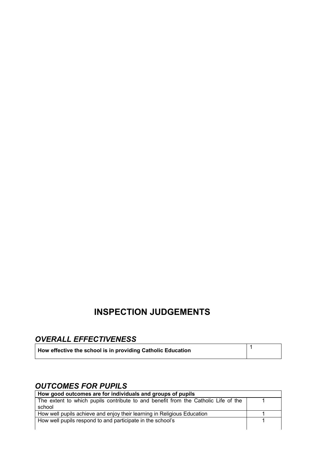# **INSPECTION JUDGEMENTS**

| <b>OVERALL EFFECTIVENESS</b>                                |  |
|-------------------------------------------------------------|--|
| How effective the school is in providing Catholic Education |  |

### *OUTCOMES FOR PUPILS*

| How good outcomes are for individuals and groups of pupils                         |  |
|------------------------------------------------------------------------------------|--|
| The extent to which pupils contribute to and benefit from the Catholic Life of the |  |
| school                                                                             |  |
| How well pupils achieve and enjoy their learning in Religious Education            |  |
| How well pupils respond to and participate in the school's                         |  |
|                                                                                    |  |